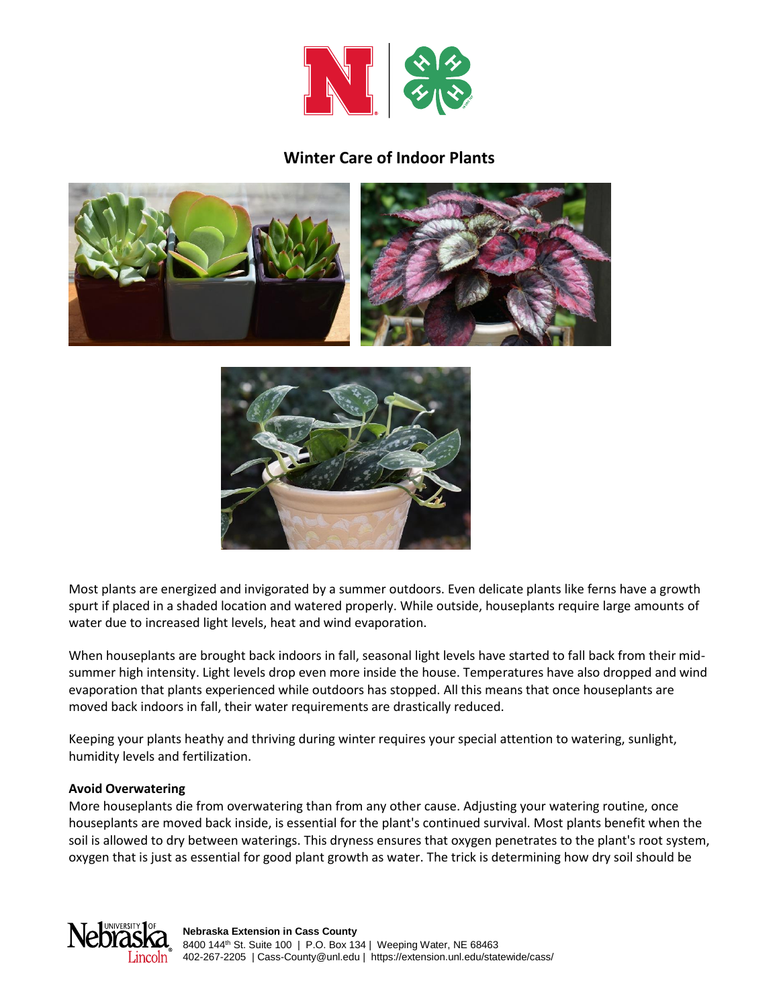

## **Winter Care of Indoor Plants**





Most plants are energized and invigorated by a summer outdoors. Even delicate plants like ferns have a growth spurt if placed in a shaded location and watered properly. While outside, houseplants require large amounts of water due to increased light levels, heat and wind evaporation.

When houseplants are brought back indoors in fall, seasonal light levels have started to fall back from their midsummer high intensity. Light levels drop even more inside the house. Temperatures have also dropped and wind evaporation that plants experienced while outdoors has stopped. All this means that once houseplants are moved back indoors in fall, their water requirements are drastically reduced.

Keeping your plants heathy and thriving during winter requires your special attention to watering, sunlight, humidity levels and fertilization.

## **Avoid Overwatering**

More houseplants die from overwatering than from any other cause. Adjusting your watering routine, once houseplants are moved back inside, is essential for the plant's continued survival. Most plants benefit when the soil is allowed to dry between waterings. This dryness ensures that oxygen penetrates to the plant's root system, oxygen that is just as essential for good plant growth as water. The trick is determining how dry soil should be

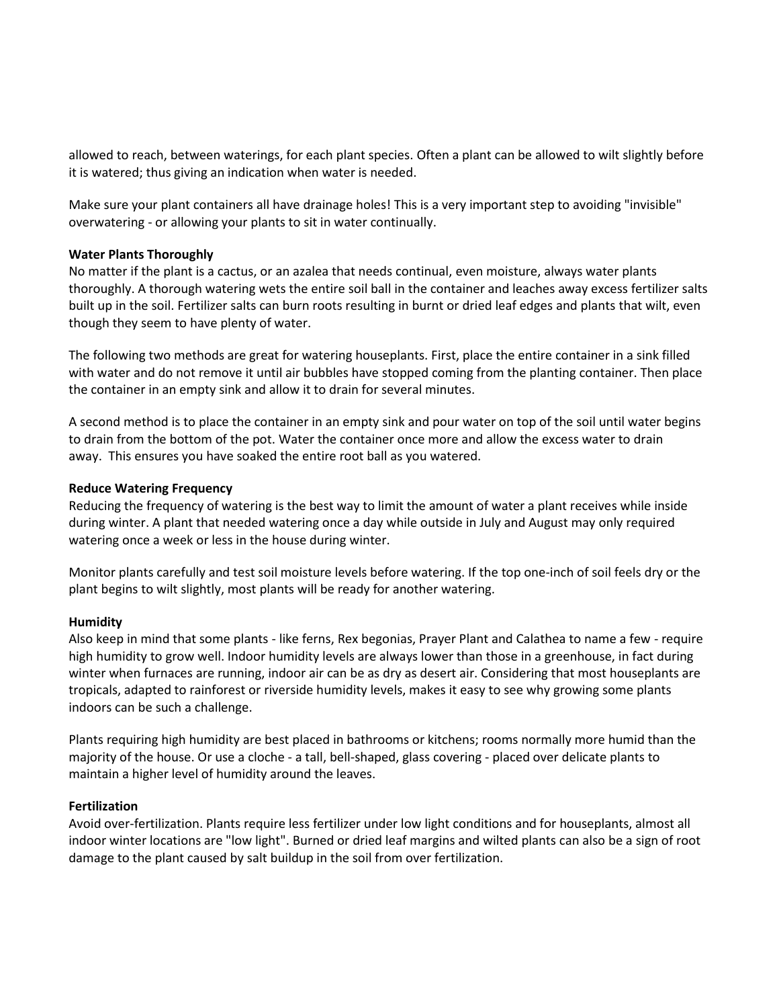allowed to reach, between waterings, for each plant species. Often a plant can be allowed to wilt slightly before it is watered; thus giving an indication when water is needed.

Make sure your plant containers all have drainage holes! This is a very important step to avoiding "invisible" overwatering - or allowing your plants to sit in water continually.

#### **Water Plants Thoroughly**

No matter if the plant is a cactus, or an azalea that needs continual, even moisture, always water plants thoroughly. A thorough watering wets the entire soil ball in the container and leaches away excess fertilizer salts built up in the soil. Fertilizer salts can burn roots resulting in burnt or dried leaf edges and plants that wilt, even though they seem to have plenty of water.

The following two methods are great for watering houseplants. First, place the entire container in a sink filled with water and do not remove it until air bubbles have stopped coming from the planting container. Then place the container in an empty sink and allow it to drain for several minutes.

A second method is to place the container in an empty sink and pour water on top of the soil until water begins to drain from the bottom of the pot. Water the container once more and allow the excess water to drain away. This ensures you have soaked the entire root ball as you watered.

## **Reduce Watering Frequency**

Reducing the frequency of watering is the best way to limit the amount of water a plant receives while inside during winter. A plant that needed watering once a day while outside in July and August may only required watering once a week or less in the house during winter.

Monitor plants carefully and test soil moisture levels before watering. If the top one-inch of soil feels dry or the plant begins to wilt slightly, most plants will be ready for another watering.

#### **Humidity**

Also keep in mind that some plants - like ferns, Rex begonias, Prayer Plant and Calathea to name a few - require high humidity to grow well. Indoor humidity levels are always lower than those in a greenhouse, in fact during winter when furnaces are running, indoor air can be as dry as desert air. Considering that most houseplants are tropicals, adapted to rainforest or riverside humidity levels, makes it easy to see why growing some plants indoors can be such a challenge.

Plants requiring high humidity are best placed in bathrooms or kitchens; rooms normally more humid than the majority of the house. Or use a cloche - a tall, bell-shaped, glass covering - placed over delicate plants to maintain a higher level of humidity around the leaves.

#### **Fertilization**

Avoid over-fertilization. Plants require less fertilizer under low light conditions and for houseplants, almost all indoor winter locations are "low light". Burned or dried leaf margins and wilted plants can also be a sign of root damage to the plant caused by salt buildup in the soil from over fertilization.